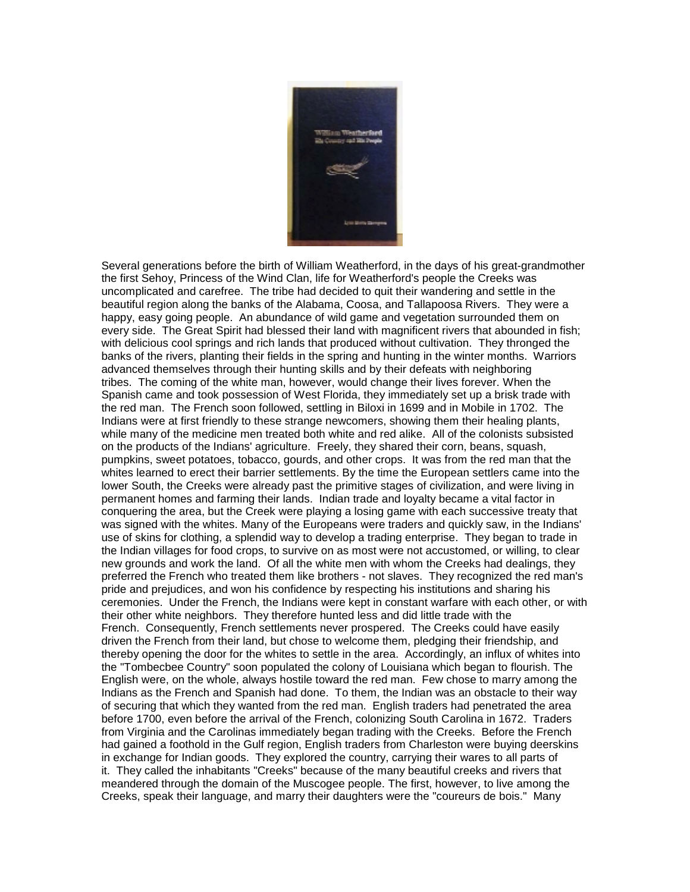

Several generations before the birth of William Weatherford, in the days of his great-grandmother the first Sehoy, Princess of the Wind Clan, life for Weatherford's people the Creeks was uncomplicated and carefree. The tribe had decided to quit their wandering and settle in the beautiful region along the banks of the Alabama, Coosa, and Tallapoosa Rivers. They were a happy, easy going people. An abundance of wild game and vegetation surrounded them on every side. The Great Spirit had blessed their land with magnificent rivers that abounded in fish; with delicious cool springs and rich lands that produced without cultivation. They thronged the banks of the rivers, planting their fields in the spring and hunting in the winter months. Warriors advanced themselves through their hunting skills and by their defeats with neighboring tribes. The coming of the white man, however, would change their lives forever. When the Spanish came and took possession of West Florida, they immediately set up a brisk trade with the red man. The French soon followed, settling in Biloxi in 1699 and in Mobile in 1702. The Indians were at first friendly to these strange newcomers, showing them their healing plants, while many of the medicine men treated both white and red alike. All of the colonists subsisted on the products of the Indians' agriculture. Freely, they shared their corn, beans, squash, pumpkins, sweet potatoes, tobacco, gourds, and other crops. It was from the red man that the whites learned to erect their barrier settlements. By the time the European settlers came into the lower South, the Creeks were already past the primitive stages of civilization, and were living in permanent homes and farming their lands. Indian trade and loyalty became a vital factor in conquering the area, but the Creek were playing a losing game with each successive treaty that was signed with the whites. Many of the Europeans were traders and quickly saw, in the Indians' use of skins for clothing, a splendid way to develop a trading enterprise. They began to trade in the Indian villages for food crops, to survive on as most were not accustomed, or willing, to clear new grounds and work the land. Of all the white men with whom the Creeks had dealings, they preferred the French who treated them like brothers - not slaves. They recognized the red man's pride and prejudices, and won his confidence by respecting his institutions and sharing his ceremonies. Under the French, the Indians were kept in constant warfare with each other, or with their other white neighbors. They therefore hunted less and did little trade with the French. Consequently, French settlements never prospered. The Creeks could have easily driven the French from their land, but chose to welcome them, pledging their friendship, and thereby opening the door for the whites to settle in the area. Accordingly, an influx of whites into the "Tombecbee Country" soon populated the colony of Louisiana which began to flourish. The English were, on the whole, always hostile toward the red man. Few chose to marry among the Indians as the French and Spanish had done. To them, the Indian was an obstacle to their way of securing that which they wanted from the red man. English traders had penetrated the area before 1700, even before the arrival of the French, colonizing South Carolina in 1672. Traders from Virginia and the Carolinas immediately began trading with the Creeks. Before the French had gained a foothold in the Gulf region, English traders from Charleston were buying deerskins in exchange for Indian goods. They explored the country, carrying their wares to all parts of it. They called the inhabitants "Creeks" because of the many beautiful creeks and rivers that meandered through the domain of the Muscogee people. The first, however, to live among the Creeks, speak their language, and marry their daughters were the "coureurs de bois." Many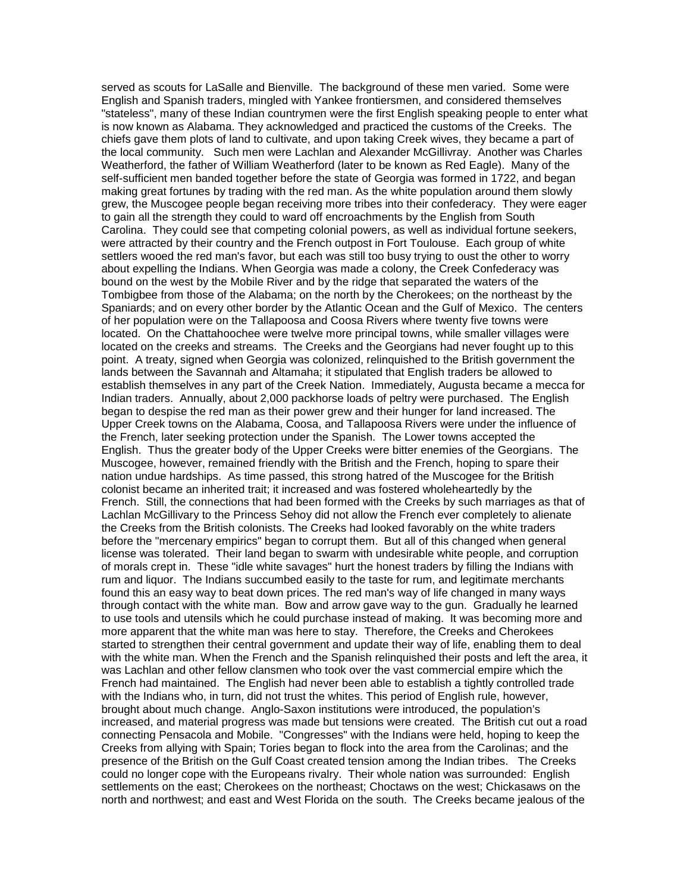served as scouts for LaSalle and Bienville. The background of these men varied. Some were English and Spanish traders, mingled with Yankee frontiersmen, and considered themselves "stateless", many of these Indian countrymen were the first English speaking people to enter what is now known as Alabama. They acknowledged and practiced the customs of the Creeks. The chiefs gave them plots of land to cultivate, and upon taking Creek wives, they became a part of the local community. Such men were Lachlan and Alexander McGillivray. Another was Charles Weatherford, the father of William Weatherford (later to be known as Red Eagle). Many of the self-sufficient men banded together before the state of Georgia was formed in 1722, and began making great fortunes by trading with the red man. As the white population around them slowly grew, the Muscogee people began receiving more tribes into their confederacy. They were eager to gain all the strength they could to ward off encroachments by the English from South Carolina. They could see that competing colonial powers, as well as individual fortune seekers, were attracted by their country and the French outpost in Fort Toulouse. Each group of white settlers wooed the red man's favor, but each was still too busy trying to oust the other to worry about expelling the Indians. When Georgia was made a colony, the Creek Confederacy was bound on the west by the Mobile River and by the ridge that separated the waters of the Tombigbee from those of the Alabama; on the north by the Cherokees; on the northeast by the Spaniards; and on every other border by the Atlantic Ocean and the Gulf of Mexico. The centers of her population were on the Tallapoosa and Coosa Rivers where twenty five towns were located. On the Chattahoochee were twelve more principal towns, while smaller villages were located on the creeks and streams. The Creeks and the Georgians had never fought up to this point. A treaty, signed when Georgia was colonized, relinquished to the British government the lands between the Savannah and Altamaha; it stipulated that English traders be allowed to establish themselves in any part of the Creek Nation. Immediately, Augusta became a mecca for Indian traders. Annually, about 2,000 packhorse loads of peltry were purchased. The English began to despise the red man as their power grew and their hunger for land increased. The Upper Creek towns on the Alabama, Coosa, and Tallapoosa Rivers were under the influence of the French, later seeking protection under the Spanish. The Lower towns accepted the English. Thus the greater body of the Upper Creeks were bitter enemies of the Georgians. The Muscogee, however, remained friendly with the British and the French, hoping to spare their nation undue hardships. As time passed, this strong hatred of the Muscogee for the British colonist became an inherited trait; it increased and was fostered wholeheartedly by the French. Still, the connections that had been formed with the Creeks by such marriages as that of Lachlan McGillivary to the Princess Sehoy did not allow the French ever completely to alienate the Creeks from the British colonists. The Creeks had looked favorably on the white traders before the "mercenary empirics" began to corrupt them. But all of this changed when general license was tolerated. Their land began to swarm with undesirable white people, and corruption of morals crept in. These "idle white savages" hurt the honest traders by filling the Indians with rum and liquor. The Indians succumbed easily to the taste for rum, and legitimate merchants found this an easy way to beat down prices. The red man's way of life changed in many ways through contact with the white man. Bow and arrow gave way to the gun. Gradually he learned to use tools and utensils which he could purchase instead of making. It was becoming more and more apparent that the white man was here to stay. Therefore, the Creeks and Cherokees started to strengthen their central government and update their way of life, enabling them to deal with the white man. When the French and the Spanish relinquished their posts and left the area, it was Lachlan and other fellow clansmen who took over the vast commercial empire which the French had maintained. The English had never been able to establish a tightly controlled trade with the Indians who, in turn, did not trust the whites. This period of English rule, however, brought about much change. Anglo-Saxon institutions were introduced, the population's increased, and material progress was made but tensions were created. The British cut out a road connecting Pensacola and Mobile. "Congresses" with the Indians were held, hoping to keep the Creeks from allying with Spain; Tories began to flock into the area from the Carolinas; and the presence of the British on the Gulf Coast created tension among the Indian tribes. The Creeks could no longer cope with the Europeans rivalry. Their whole nation was surrounded: English settlements on the east; Cherokees on the northeast; Choctaws on the west; Chickasaws on the north and northwest; and east and West Florida on the south. The Creeks became jealous of the